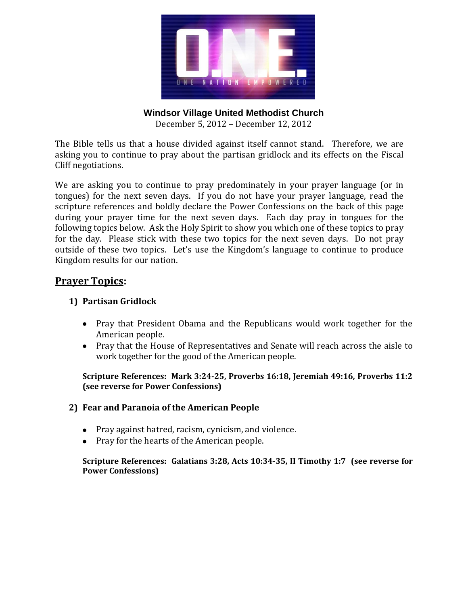

**Windsor Village United Methodist Church** 

December 5, 2012 – December 12, 2012

The Bible tells us that a house divided against itself cannot stand. Therefore, we are asking you to continue to pray about the partisan gridlock and its effects on the Fiscal Cliff negotiations.

We are asking you to continue to pray predominately in your prayer language (or in tongues) for the next seven days. If you do not have your prayer language, read the scripture references and boldly declare the Power Confessions on the back of this page during your prayer time for the next seven days. Each day pray in tongues for the following topics below. Ask the Holy Spirit to show you which one of these topics to pray for the day. Please stick with these two topics for the next seven days. Do not pray outside of these two topics. Let's use the Kingdom's language to continue to produce Kingdom results for our nation.

### **Prayer Topics:**

### **1) Partisan Gridlock**

- Pray that President Obama and the Republicans would work together for the American people.
- Pray that the House of Representatives and Senate will reach across the aisle to work together for the good of the American people.

**Scripture References: Mark 3:24-25, Proverbs 16:18, Jeremiah 49:16, Proverbs 11:2 (see reverse for Power Confessions)**

#### **2) Fear and Paranoia of the American People**

- Pray against hatred, racism, cynicism, and violence.
- Pray for the hearts of the American people.

**Scripture References: Galatians 3:28, Acts 10:34-35, II Timothy 1:7 (see reverse for Power Confessions)**